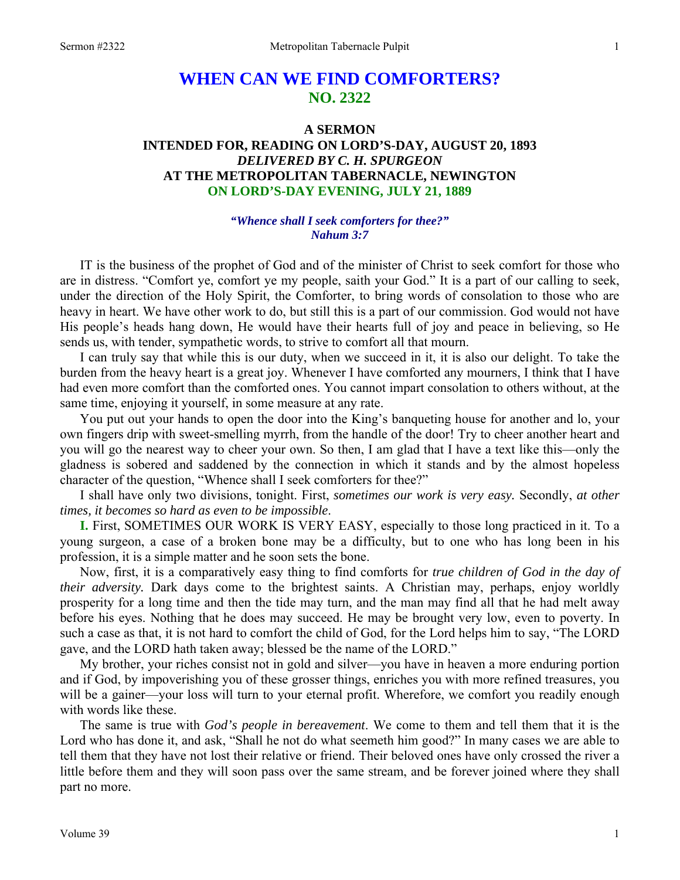# **WHEN CAN WE FIND COMFORTERS? NO. 2322**

## **A SERMON INTENDED FOR, READING ON LORD'S-DAY, AUGUST 20, 1893**  *DELIVERED BY C. H. SPURGEON*  **AT THE METROPOLITAN TABERNACLE, NEWINGTON ON LORD'S-DAY EVENING, JULY 21, 1889**

### *"Whence shall I seek comforters for thee?" Nahum 3:7*

IT is the business of the prophet of God and of the minister of Christ to seek comfort for those who are in distress. "Comfort ye, comfort ye my people, saith your God." It is a part of our calling to seek, under the direction of the Holy Spirit, the Comforter, to bring words of consolation to those who are heavy in heart. We have other work to do, but still this is a part of our commission. God would not have His people's heads hang down, He would have their hearts full of joy and peace in believing, so He sends us, with tender, sympathetic words, to strive to comfort all that mourn.

I can truly say that while this is our duty, when we succeed in it, it is also our delight. To take the burden from the heavy heart is a great joy. Whenever I have comforted any mourners, I think that I have had even more comfort than the comforted ones. You cannot impart consolation to others without, at the same time, enjoying it yourself, in some measure at any rate.

You put out your hands to open the door into the King's banqueting house for another and lo, your own fingers drip with sweet-smelling myrrh, from the handle of the door! Try to cheer another heart and you will go the nearest way to cheer your own. So then, I am glad that I have a text like this—only the gladness is sobered and saddened by the connection in which it stands and by the almost hopeless character of the question, "Whence shall I seek comforters for thee?"

I shall have only two divisions, tonight. First, *sometimes our work is very easy.* Secondly, *at other times, it becomes so hard as even to be impossible*.

**I.** First, SOMETIMES OUR WORK IS VERY EASY, especially to those long practiced in it. To a young surgeon, a case of a broken bone may be a difficulty, but to one who has long been in his profession, it is a simple matter and he soon sets the bone.

Now, first, it is a comparatively easy thing to find comforts for *true children of God in the day of their adversity.* Dark days come to the brightest saints. A Christian may, perhaps, enjoy worldly prosperity for a long time and then the tide may turn, and the man may find all that he had melt away before his eyes. Nothing that he does may succeed. He may be brought very low, even to poverty. In such a case as that, it is not hard to comfort the child of God, for the Lord helps him to say, "The LORD gave, and the LORD hath taken away; blessed be the name of the LORD."

My brother, your riches consist not in gold and silver—you have in heaven a more enduring portion and if God, by impoverishing you of these grosser things, enriches you with more refined treasures, you will be a gainer—your loss will turn to your eternal profit. Wherefore, we comfort you readily enough with words like these.

The same is true with *God's people in bereavement*. We come to them and tell them that it is the Lord who has done it, and ask, "Shall he not do what seemeth him good?" In many cases we are able to tell them that they have not lost their relative or friend. Their beloved ones have only crossed the river a little before them and they will soon pass over the same stream, and be forever joined where they shall part no more.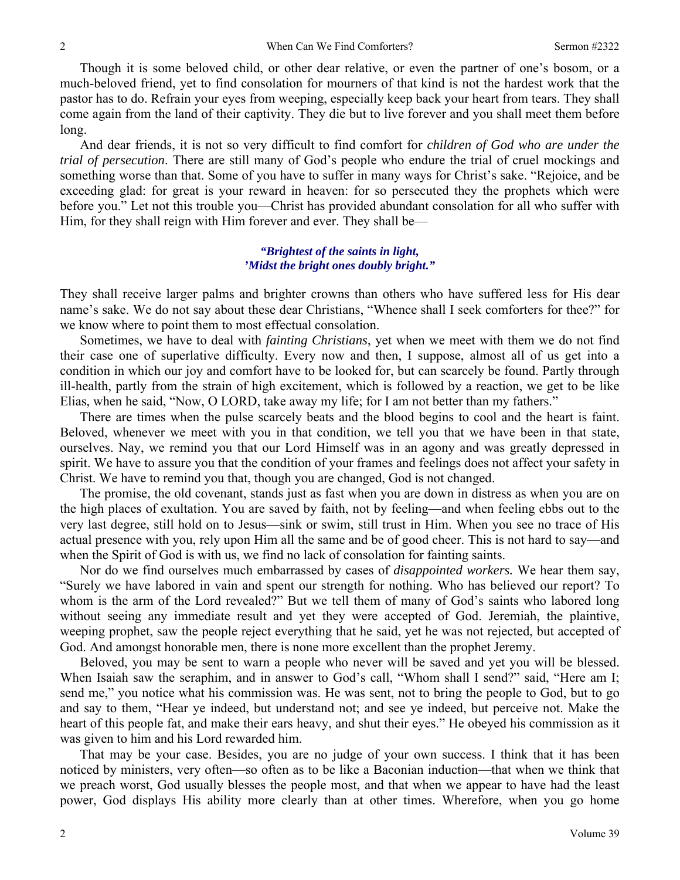Though it is some beloved child, or other dear relative, or even the partner of one's bosom, or a much-beloved friend, yet to find consolation for mourners of that kind is not the hardest work that the pastor has to do. Refrain your eyes from weeping, especially keep back your heart from tears. They shall come again from the land of their captivity. They die but to live forever and you shall meet them before long.

And dear friends, it is not so very difficult to find comfort for *children of God who are under the trial of persecution*. There are still many of God's people who endure the trial of cruel mockings and something worse than that. Some of you have to suffer in many ways for Christ's sake. "Rejoice, and be exceeding glad: for great is your reward in heaven: for so persecuted they the prophets which were before you." Let not this trouble you—Christ has provided abundant consolation for all who suffer with Him, for they shall reign with Him forever and ever. They shall be—

### *"Brightest of the saints in light, 'Midst the bright ones doubly bright."*

They shall receive larger palms and brighter crowns than others who have suffered less for His dear name's sake. We do not say about these dear Christians, "Whence shall I seek comforters for thee?" for we know where to point them to most effectual consolation.

Sometimes, we have to deal with *fainting Christians*, yet when we meet with them we do not find their case one of superlative difficulty. Every now and then, I suppose, almost all of us get into a condition in which our joy and comfort have to be looked for, but can scarcely be found. Partly through ill-health, partly from the strain of high excitement, which is followed by a reaction, we get to be like Elias, when he said, "Now, O LORD, take away my life; for I am not better than my fathers."

There are times when the pulse scarcely beats and the blood begins to cool and the heart is faint. Beloved, whenever we meet with you in that condition, we tell you that we have been in that state, ourselves. Nay, we remind you that our Lord Himself was in an agony and was greatly depressed in spirit. We have to assure you that the condition of your frames and feelings does not affect your safety in Christ. We have to remind you that, though you are changed, God is not changed.

The promise, the old covenant, stands just as fast when you are down in distress as when you are on the high places of exultation. You are saved by faith, not by feeling—and when feeling ebbs out to the very last degree, still hold on to Jesus—sink or swim, still trust in Him. When you see no trace of His actual presence with you, rely upon Him all the same and be of good cheer. This is not hard to say—and when the Spirit of God is with us, we find no lack of consolation for fainting saints.

Nor do we find ourselves much embarrassed by cases of *disappointed workers.* We hear them say, "Surely we have labored in vain and spent our strength for nothing. Who has believed our report? To whom is the arm of the Lord revealed?" But we tell them of many of God's saints who labored long without seeing any immediate result and yet they were accepted of God. Jeremiah, the plaintive, weeping prophet, saw the people reject everything that he said, yet he was not rejected, but accepted of God. And amongst honorable men, there is none more excellent than the prophet Jeremy.

Beloved, you may be sent to warn a people who never will be saved and yet you will be blessed. When Isaiah saw the seraphim, and in answer to God's call, "Whom shall I send?" said, "Here am I; send me," you notice what his commission was. He was sent, not to bring the people to God, but to go and say to them, "Hear ye indeed, but understand not; and see ye indeed, but perceive not. Make the heart of this people fat, and make their ears heavy, and shut their eyes." He obeyed his commission as it was given to him and his Lord rewarded him.

That may be your case. Besides, you are no judge of your own success. I think that it has been noticed by ministers, very often—so often as to be like a Baconian induction—that when we think that we preach worst, God usually blesses the people most, and that when we appear to have had the least power, God displays His ability more clearly than at other times. Wherefore, when you go home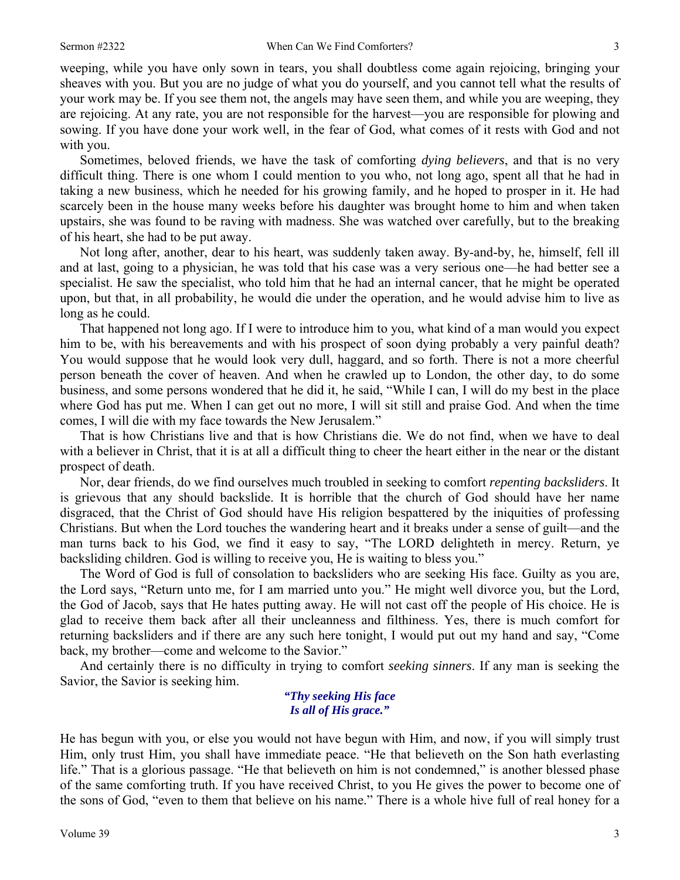weeping, while you have only sown in tears, you shall doubtless come again rejoicing, bringing your sheaves with you. But you are no judge of what you do yourself, and you cannot tell what the results of your work may be. If you see them not, the angels may have seen them, and while you are weeping, they are rejoicing. At any rate, you are not responsible for the harvest—you are responsible for plowing and sowing. If you have done your work well, in the fear of God, what comes of it rests with God and not with you.

Sometimes, beloved friends, we have the task of comforting *dying believers*, and that is no very difficult thing. There is one whom I could mention to you who, not long ago, spent all that he had in taking a new business, which he needed for his growing family, and he hoped to prosper in it. He had scarcely been in the house many weeks before his daughter was brought home to him and when taken upstairs, she was found to be raving with madness. She was watched over carefully, but to the breaking of his heart, she had to be put away.

Not long after, another, dear to his heart, was suddenly taken away. By-and-by, he, himself, fell ill and at last, going to a physician, he was told that his case was a very serious one—he had better see a specialist. He saw the specialist, who told him that he had an internal cancer, that he might be operated upon, but that, in all probability, he would die under the operation, and he would advise him to live as long as he could.

That happened not long ago. If I were to introduce him to you, what kind of a man would you expect him to be, with his bereavements and with his prospect of soon dying probably a very painful death? You would suppose that he would look very dull, haggard, and so forth. There is not a more cheerful person beneath the cover of heaven. And when he crawled up to London, the other day, to do some business, and some persons wondered that he did it, he said, "While I can, I will do my best in the place where God has put me. When I can get out no more, I will sit still and praise God. And when the time comes, I will die with my face towards the New Jerusalem."

That is how Christians live and that is how Christians die. We do not find, when we have to deal with a believer in Christ, that it is at all a difficult thing to cheer the heart either in the near or the distant prospect of death.

Nor, dear friends, do we find ourselves much troubled in seeking to comfort *repenting backsliders*. It is grievous that any should backslide. It is horrible that the church of God should have her name disgraced, that the Christ of God should have His religion bespattered by the iniquities of professing Christians. But when the Lord touches the wandering heart and it breaks under a sense of guilt—and the man turns back to his God, we find it easy to say, "The LORD delighteth in mercy. Return, ye backsliding children. God is willing to receive you, He is waiting to bless you."

The Word of God is full of consolation to backsliders who are seeking His face. Guilty as you are, the Lord says, "Return unto me, for I am married unto you." He might well divorce you, but the Lord, the God of Jacob, says that He hates putting away. He will not cast off the people of His choice. He is glad to receive them back after all their uncleanness and filthiness. Yes, there is much comfort for returning backsliders and if there are any such here tonight, I would put out my hand and say, "Come back, my brother—come and welcome to the Savior."

And certainly there is no difficulty in trying to comfort *seeking sinners*. If any man is seeking the Savior, the Savior is seeking him.

#### *"Thy seeking His face Is all of His grace."*

He has begun with you, or else you would not have begun with Him, and now, if you will simply trust Him, only trust Him, you shall have immediate peace. "He that believeth on the Son hath everlasting life." That is a glorious passage. "He that believeth on him is not condemned," is another blessed phase of the same comforting truth. If you have received Christ, to you He gives the power to become one of the sons of God, "even to them that believe on his name." There is a whole hive full of real honey for a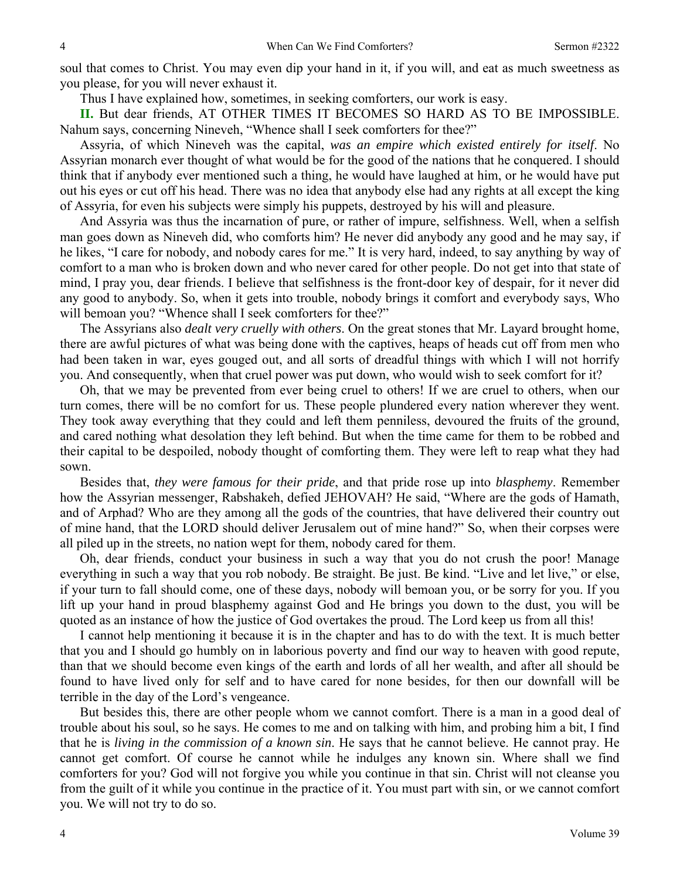soul that comes to Christ. You may even dip your hand in it, if you will, and eat as much sweetness as you please, for you will never exhaust it.

Thus I have explained how, sometimes, in seeking comforters, our work is easy.

**II.** But dear friends, AT OTHER TIMES IT BECOMES SO HARD AS TO BE IMPOSSIBLE. Nahum says, concerning Nineveh, "Whence shall I seek comforters for thee?"

Assyria, of which Nineveh was the capital, *was an empire which existed entirely for itself*. No Assyrian monarch ever thought of what would be for the good of the nations that he conquered. I should think that if anybody ever mentioned such a thing, he would have laughed at him, or he would have put out his eyes or cut off his head. There was no idea that anybody else had any rights at all except the king of Assyria, for even his subjects were simply his puppets, destroyed by his will and pleasure.

And Assyria was thus the incarnation of pure, or rather of impure, selfishness. Well, when a selfish man goes down as Nineveh did, who comforts him? He never did anybody any good and he may say, if he likes, "I care for nobody, and nobody cares for me." It is very hard, indeed, to say anything by way of comfort to a man who is broken down and who never cared for other people. Do not get into that state of mind, I pray you, dear friends. I believe that selfishness is the front-door key of despair, for it never did any good to anybody. So, when it gets into trouble, nobody brings it comfort and everybody says, Who will bemoan you? "Whence shall I seek comforters for thee?"

The Assyrians also *dealt very cruelly with others*. On the great stones that Mr. Layard brought home, there are awful pictures of what was being done with the captives, heaps of heads cut off from men who had been taken in war, eyes gouged out, and all sorts of dreadful things with which I will not horrify you. And consequently, when that cruel power was put down, who would wish to seek comfort for it?

Oh, that we may be prevented from ever being cruel to others! If we are cruel to others, when our turn comes, there will be no comfort for us. These people plundered every nation wherever they went. They took away everything that they could and left them penniless, devoured the fruits of the ground, and cared nothing what desolation they left behind. But when the time came for them to be robbed and their capital to be despoiled, nobody thought of comforting them. They were left to reap what they had sown.

Besides that, *they were famous for their pride*, and that pride rose up into *blasphemy*. Remember how the Assyrian messenger, Rabshakeh, defied JEHOVAH? He said, "Where are the gods of Hamath, and of Arphad? Who are they among all the gods of the countries, that have delivered their country out of mine hand, that the LORD should deliver Jerusalem out of mine hand?" So, when their corpses were all piled up in the streets, no nation wept for them, nobody cared for them.

Oh, dear friends, conduct your business in such a way that you do not crush the poor! Manage everything in such a way that you rob nobody. Be straight. Be just. Be kind. "Live and let live," or else, if your turn to fall should come, one of these days, nobody will bemoan you, or be sorry for you. If you lift up your hand in proud blasphemy against God and He brings you down to the dust, you will be quoted as an instance of how the justice of God overtakes the proud. The Lord keep us from all this!

I cannot help mentioning it because it is in the chapter and has to do with the text. It is much better that you and I should go humbly on in laborious poverty and find our way to heaven with good repute, than that we should become even kings of the earth and lords of all her wealth, and after all should be found to have lived only for self and to have cared for none besides, for then our downfall will be terrible in the day of the Lord's vengeance.

But besides this, there are other people whom we cannot comfort. There is a man in a good deal of trouble about his soul, so he says. He comes to me and on talking with him, and probing him a bit, I find that he is *living in the commission of a known sin*. He says that he cannot believe. He cannot pray. He cannot get comfort. Of course he cannot while he indulges any known sin. Where shall we find comforters for you? God will not forgive you while you continue in that sin. Christ will not cleanse you from the guilt of it while you continue in the practice of it. You must part with sin, or we cannot comfort you. We will not try to do so.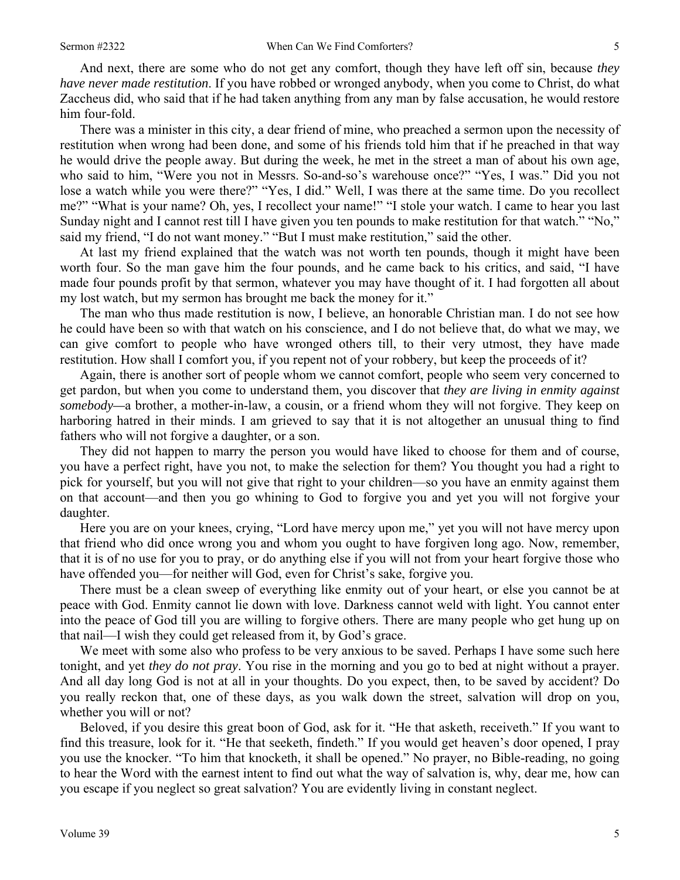And next, there are some who do not get any comfort, though they have left off sin, because *they have never made restitution*. If you have robbed or wronged anybody, when you come to Christ, do what Zaccheus did, who said that if he had taken anything from any man by false accusation, he would restore him four-fold.

There was a minister in this city, a dear friend of mine, who preached a sermon upon the necessity of restitution when wrong had been done, and some of his friends told him that if he preached in that way he would drive the people away. But during the week, he met in the street a man of about his own age, who said to him, "Were you not in Messrs. So-and-so's warehouse once?" "Yes, I was." Did you not lose a watch while you were there?" "Yes, I did." Well, I was there at the same time. Do you recollect me?" "What is your name? Oh, yes, I recollect your name!" "I stole your watch. I came to hear you last Sunday night and I cannot rest till I have given you ten pounds to make restitution for that watch." "No," said my friend, "I do not want money." "But I must make restitution," said the other.

At last my friend explained that the watch was not worth ten pounds, though it might have been worth four. So the man gave him the four pounds, and he came back to his critics, and said, "I have made four pounds profit by that sermon, whatever you may have thought of it. I had forgotten all about my lost watch, but my sermon has brought me back the money for it."

The man who thus made restitution is now, I believe, an honorable Christian man. I do not see how he could have been so with that watch on his conscience, and I do not believe that, do what we may, we can give comfort to people who have wronged others till, to their very utmost, they have made restitution. How shall I comfort you, if you repent not of your robbery, but keep the proceeds of it?

Again, there is another sort of people whom we cannot comfort, people who seem very concerned to get pardon, but when you come to understand them, you discover that *they are living in enmity against somebody—*a brother, a mother-in-law, a cousin, or a friend whom they will not forgive. They keep on harboring hatred in their minds. I am grieved to say that it is not altogether an unusual thing to find fathers who will not forgive a daughter, or a son.

They did not happen to marry the person you would have liked to choose for them and of course, you have a perfect right, have you not, to make the selection for them? You thought you had a right to pick for yourself, but you will not give that right to your children—so you have an enmity against them on that account—and then you go whining to God to forgive you and yet you will not forgive your daughter.

Here you are on your knees, crying, "Lord have mercy upon me," yet you will not have mercy upon that friend who did once wrong you and whom you ought to have forgiven long ago. Now, remember, that it is of no use for you to pray, or do anything else if you will not from your heart forgive those who have offended you—for neither will God, even for Christ's sake, forgive you.

There must be a clean sweep of everything like enmity out of your heart, or else you cannot be at peace with God. Enmity cannot lie down with love. Darkness cannot weld with light. You cannot enter into the peace of God till you are willing to forgive others. There are many people who get hung up on that nail—I wish they could get released from it, by God's grace.

We meet with some also who profess to be very anxious to be saved. Perhaps I have some such here tonight, and yet *they do not pray*. You rise in the morning and you go to bed at night without a prayer. And all day long God is not at all in your thoughts. Do you expect, then, to be saved by accident? Do you really reckon that, one of these days, as you walk down the street, salvation will drop on you, whether you will or not?

Beloved, if you desire this great boon of God, ask for it. "He that asketh, receiveth." If you want to find this treasure, look for it. "He that seeketh, findeth." If you would get heaven's door opened, I pray you use the knocker. "To him that knocketh, it shall be opened." No prayer, no Bible-reading, no going to hear the Word with the earnest intent to find out what the way of salvation is, why, dear me, how can you escape if you neglect so great salvation? You are evidently living in constant neglect.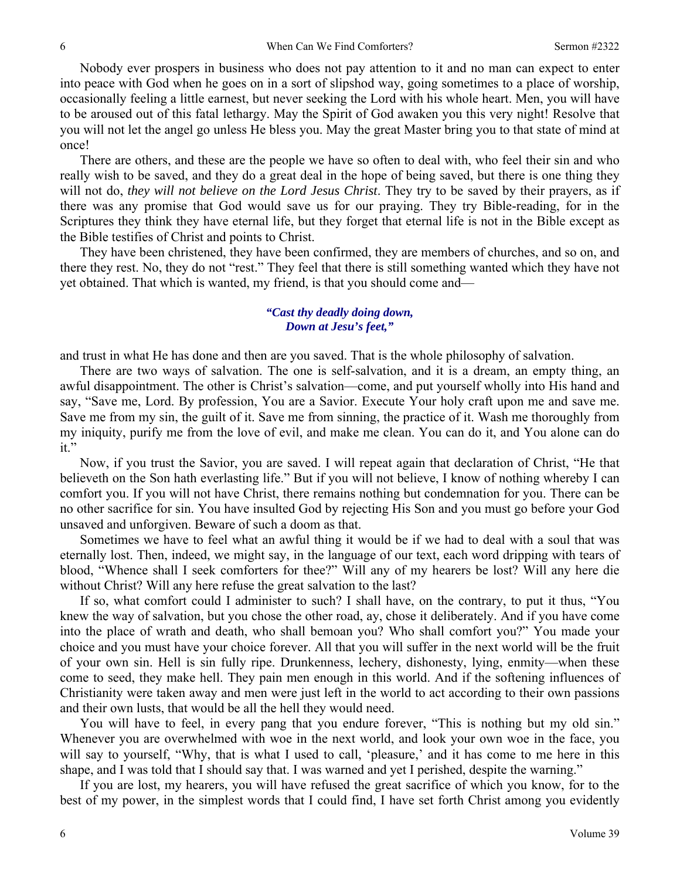Nobody ever prospers in business who does not pay attention to it and no man can expect to enter into peace with God when he goes on in a sort of slipshod way, going sometimes to a place of worship, occasionally feeling a little earnest, but never seeking the Lord with his whole heart. Men, you will have to be aroused out of this fatal lethargy. May the Spirit of God awaken you this very night! Resolve that you will not let the angel go unless He bless you. May the great Master bring you to that state of mind at once!

There are others, and these are the people we have so often to deal with, who feel their sin and who really wish to be saved, and they do a great deal in the hope of being saved, but there is one thing they will not do, *they will not believe on the Lord Jesus Christ*. They try to be saved by their prayers, as if there was any promise that God would save us for our praying. They try Bible-reading, for in the Scriptures they think they have eternal life, but they forget that eternal life is not in the Bible except as the Bible testifies of Christ and points to Christ.

They have been christened, they have been confirmed, they are members of churches, and so on, and there they rest. No, they do not "rest." They feel that there is still something wanted which they have not yet obtained. That which is wanted, my friend, is that you should come and—

### *"Cast thy deadly doing down, Down at Jesu's feet,"*

and trust in what He has done and then are you saved. That is the whole philosophy of salvation.

There are two ways of salvation. The one is self-salvation, and it is a dream, an empty thing, an awful disappointment. The other is Christ's salvation—come, and put yourself wholly into His hand and say, "Save me, Lord. By profession, You are a Savior. Execute Your holy craft upon me and save me. Save me from my sin, the guilt of it. Save me from sinning, the practice of it. Wash me thoroughly from my iniquity, purify me from the love of evil, and make me clean. You can do it, and You alone can do it."

Now, if you trust the Savior, you are saved. I will repeat again that declaration of Christ, "He that believeth on the Son hath everlasting life." But if you will not believe, I know of nothing whereby I can comfort you. If you will not have Christ, there remains nothing but condemnation for you. There can be no other sacrifice for sin. You have insulted God by rejecting His Son and you must go before your God unsaved and unforgiven. Beware of such a doom as that.

Sometimes we have to feel what an awful thing it would be if we had to deal with a soul that was eternally lost. Then, indeed, we might say, in the language of our text, each word dripping with tears of blood, "Whence shall I seek comforters for thee?" Will any of my hearers be lost? Will any here die without Christ? Will any here refuse the great salvation to the last?

If so, what comfort could I administer to such? I shall have, on the contrary, to put it thus, "You knew the way of salvation, but you chose the other road, ay, chose it deliberately. And if you have come into the place of wrath and death, who shall bemoan you? Who shall comfort you?" You made your choice and you must have your choice forever. All that you will suffer in the next world will be the fruit of your own sin. Hell is sin fully ripe. Drunkenness, lechery, dishonesty, lying, enmity—when these come to seed, they make hell. They pain men enough in this world. And if the softening influences of Christianity were taken away and men were just left in the world to act according to their own passions and their own lusts, that would be all the hell they would need.

You will have to feel, in every pang that you endure forever, "This is nothing but my old sin." Whenever you are overwhelmed with woe in the next world, and look your own woe in the face, you will say to yourself, "Why, that is what I used to call, 'pleasure,' and it has come to me here in this shape, and I was told that I should say that. I was warned and yet I perished, despite the warning."

If you are lost, my hearers, you will have refused the great sacrifice of which you know, for to the best of my power, in the simplest words that I could find, I have set forth Christ among you evidently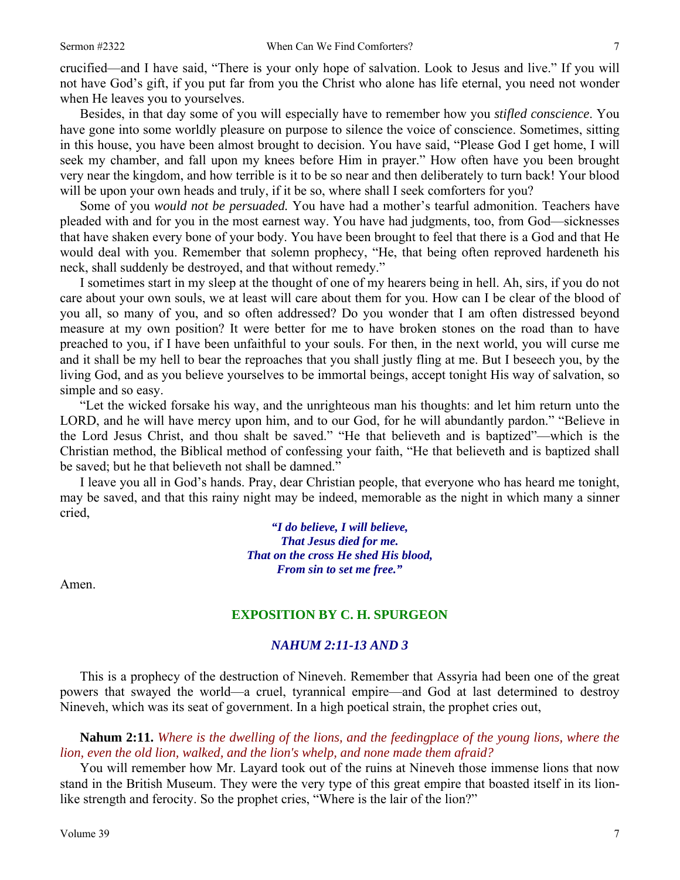crucified—and I have said, "There is your only hope of salvation. Look to Jesus and live." If you will not have God's gift, if you put far from you the Christ who alone has life eternal, you need not wonder when He leaves you to yourselves.

Besides, in that day some of you will especially have to remember how you *stifled conscience*. You have gone into some worldly pleasure on purpose to silence the voice of conscience. Sometimes, sitting in this house, you have been almost brought to decision. You have said, "Please God I get home, I will seek my chamber, and fall upon my knees before Him in prayer." How often have you been brought very near the kingdom, and how terrible is it to be so near and then deliberately to turn back! Your blood will be upon your own heads and truly, if it be so, where shall I seek comforters for you?

Some of you *would not be persuaded.* You have had a mother's tearful admonition. Teachers have pleaded with and for you in the most earnest way. You have had judgments, too, from God—sicknesses that have shaken every bone of your body. You have been brought to feel that there is a God and that He would deal with you. Remember that solemn prophecy, "He, that being often reproved hardeneth his neck, shall suddenly be destroyed, and that without remedy."

I sometimes start in my sleep at the thought of one of my hearers being in hell. Ah, sirs, if you do not care about your own souls, we at least will care about them for you. How can I be clear of the blood of you all, so many of you, and so often addressed? Do you wonder that I am often distressed beyond measure at my own position? It were better for me to have broken stones on the road than to have preached to you, if I have been unfaithful to your souls. For then, in the next world, you will curse me and it shall be my hell to bear the reproaches that you shall justly fling at me. But I beseech you, by the living God, and as you believe yourselves to be immortal beings, accept tonight His way of salvation, so simple and so easy.

"Let the wicked forsake his way, and the unrighteous man his thoughts: and let him return unto the LORD, and he will have mercy upon him, and to our God, for he will abundantly pardon." "Believe in the Lord Jesus Christ, and thou shalt be saved." "He that believeth and is baptized"—which is the Christian method, the Biblical method of confessing your faith, "He that believeth and is baptized shall be saved; but he that believeth not shall be damned."

I leave you all in God's hands. Pray, dear Christian people, that everyone who has heard me tonight, may be saved, and that this rainy night may be indeed, memorable as the night in which many a sinner cried,

> *"I do believe, I will believe, That Jesus died for me. That on the cross He shed His blood, From sin to set me free."*

Amen.

#### **EXPOSITION BY C. H. SPURGEON**

#### *NAHUM 2:11-13 AND 3*

This is a prophecy of the destruction of Nineveh. Remember that Assyria had been one of the great powers that swayed the world—a cruel, tyrannical empire—and God at last determined to destroy Nineveh, which was its seat of government. In a high poetical strain, the prophet cries out,

**Nahum 2:11.** *Where is the dwelling of the lions, and the feedingplace of the young lions, where the lion, even the old lion, walked, and the lion's whelp, and none made them afraid?*

You will remember how Mr. Layard took out of the ruins at Nineveh those immense lions that now stand in the British Museum. They were the very type of this great empire that boasted itself in its lionlike strength and ferocity. So the prophet cries, "Where is the lair of the lion?"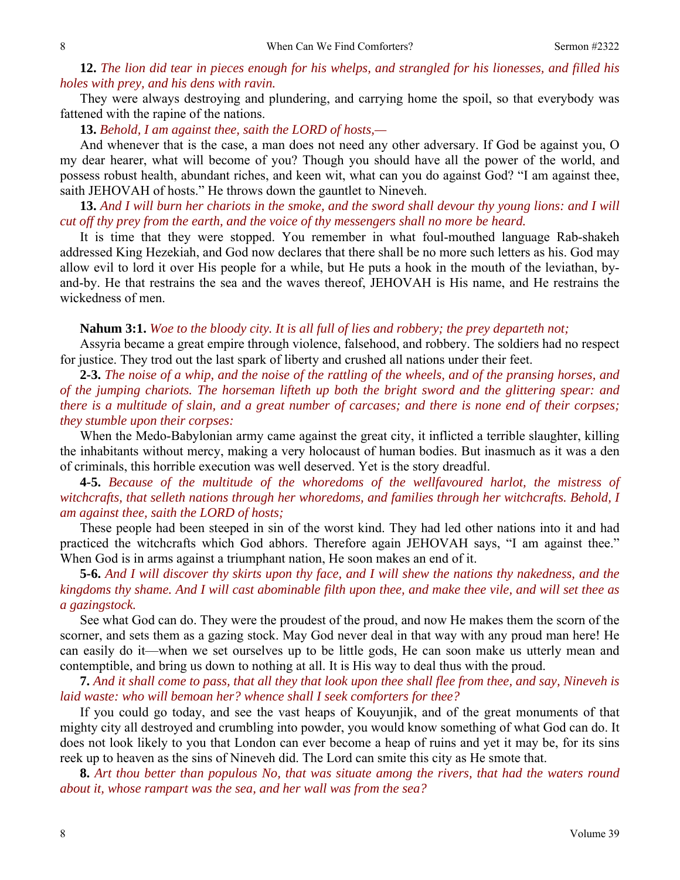### **12.** *The lion did tear in pieces enough for his whelps, and strangled for his lionesses, and filled his holes with prey, and his dens with ravin.*

They were always destroying and plundering, and carrying home the spoil, so that everybody was fattened with the rapine of the nations.

**13.** *Behold, I am against thee, saith the LORD of hosts,—*

And whenever that is the case, a man does not need any other adversary. If God be against you, O my dear hearer, what will become of you? Though you should have all the power of the world, and possess robust health, abundant riches, and keen wit, what can you do against God? "I am against thee, saith JEHOVAH of hosts." He throws down the gauntlet to Nineveh.

**13.** *And I will burn her chariots in the smoke, and the sword shall devour thy young lions: and I will cut off thy prey from the earth, and the voice of thy messengers shall no more be heard.* 

It is time that they were stopped. You remember in what foul-mouthed language Rab-shakeh addressed King Hezekiah, and God now declares that there shall be no more such letters as his. God may allow evil to lord it over His people for a while, but He puts a hook in the mouth of the leviathan, byand-by. He that restrains the sea and the waves thereof, JEHOVAH is His name, and He restrains the wickedness of men.

**Nahum 3:1.** *Woe to the bloody city. It is all full of lies and robbery; the prey departeth not;* 

Assyria became a great empire through violence, falsehood, and robbery. The soldiers had no respect for justice. They trod out the last spark of liberty and crushed all nations under their feet.

**2-3.** *The noise of a whip, and the noise of the rattling of the wheels, and of the pransing horses, and of the jumping chariots. The horseman lifteth up both the bright sword and the glittering spear: and there is a multitude of slain, and a great number of carcases; and there is none end of their corpses; they stumble upon their corpses:*

When the Medo-Babylonian army came against the great city, it inflicted a terrible slaughter, killing the inhabitants without mercy, making a very holocaust of human bodies. But inasmuch as it was a den of criminals, this horrible execution was well deserved. Yet is the story dreadful.

**4-5.** *Because of the multitude of the whoredoms of the wellfavoured harlot, the mistress of witchcrafts, that selleth nations through her whoredoms, and families through her witchcrafts. Behold, I am against thee, saith the LORD of hosts;* 

These people had been steeped in sin of the worst kind. They had led other nations into it and had practiced the witchcrafts which God abhors. Therefore again JEHOVAH says, "I am against thee." When God is in arms against a triumphant nation, He soon makes an end of it.

**5-6.** *And I will discover thy skirts upon thy face, and I will shew the nations thy nakedness, and the kingdoms thy shame. And I will cast abominable filth upon thee, and make thee vile, and will set thee as a gazingstock.*

See what God can do. They were the proudest of the proud, and now He makes them the scorn of the scorner, and sets them as a gazing stock. May God never deal in that way with any proud man here! He can easily do it—when we set ourselves up to be little gods, He can soon make us utterly mean and contemptible, and bring us down to nothing at all. It is His way to deal thus with the proud.

**7.** *And it shall come to pass, that all they that look upon thee shall flee from thee, and say, Nineveh is laid waste: who will bemoan her? whence shall I seek comforters for thee?*

If you could go today, and see the vast heaps of Kouyunjik, and of the great monuments of that mighty city all destroyed and crumbling into powder, you would know something of what God can do. It does not look likely to you that London can ever become a heap of ruins and yet it may be, for its sins reek up to heaven as the sins of Nineveh did. The Lord can smite this city as He smote that.

**8.** *Art thou better than populous No, that was situate among the rivers, that had the waters round about it, whose rampart was the sea, and her wall was from the sea?*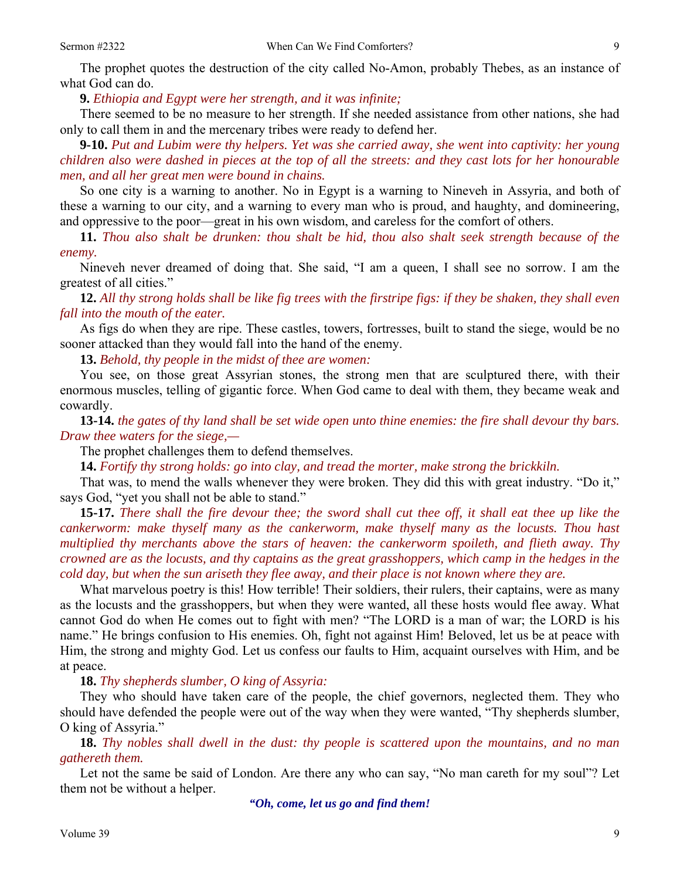**9.** *Ethiopia and Egypt were her strength, and it was infinite;* 

There seemed to be no measure to her strength. If she needed assistance from other nations, she had only to call them in and the mercenary tribes were ready to defend her.

**9-10.** *Put and Lubim were thy helpers. Yet was she carried away, she went into captivity: her young children also were dashed in pieces at the top of all the streets: and they cast lots for her honourable men, and all her great men were bound in chains.*

So one city is a warning to another. No in Egypt is a warning to Nineveh in Assyria, and both of these a warning to our city, and a warning to every man who is proud, and haughty, and domineering, and oppressive to the poor—great in his own wisdom, and careless for the comfort of others.

**11.** *Thou also shalt be drunken: thou shalt be hid, thou also shalt seek strength because of the enemy.*

Nineveh never dreamed of doing that. She said, "I am a queen, I shall see no sorrow. I am the greatest of all cities."

**12.** *All thy strong holds shall be like fig trees with the firstripe figs: if they be shaken, they shall even fall into the mouth of the eater.*

As figs do when they are ripe. These castles, towers, fortresses, built to stand the siege, would be no sooner attacked than they would fall into the hand of the enemy.

**13.** *Behold, thy people in the midst of thee are women:*

You see, on those great Assyrian stones, the strong men that are sculptured there, with their enormous muscles, telling of gigantic force. When God came to deal with them, they became weak and cowardly.

**13-14.** *the gates of thy land shall be set wide open unto thine enemies: the fire shall devour thy bars. Draw thee waters for the siege,—*

The prophet challenges them to defend themselves.

**14.** *Fortify thy strong holds: go into clay, and tread the morter, make strong the brickkiln.*

That was, to mend the walls whenever they were broken. They did this with great industry. "Do it," says God, "yet you shall not be able to stand."

**15-17.** *There shall the fire devour thee; the sword shall cut thee off, it shall eat thee up like the cankerworm: make thyself many as the cankerworm, make thyself many as the locusts. Thou hast multiplied thy merchants above the stars of heaven: the cankerworm spoileth, and flieth away. Thy crowned are as the locusts, and thy captains as the great grasshoppers, which camp in the hedges in the cold day, but when the sun ariseth they flee away, and their place is not known where they are.*

What marvelous poetry is this! How terrible! Their soldiers, their rulers, their captains, were as many as the locusts and the grasshoppers, but when they were wanted, all these hosts would flee away. What cannot God do when He comes out to fight with men? "The LORD is a man of war; the LORD is his name." He brings confusion to His enemies. Oh, fight not against Him! Beloved, let us be at peace with Him, the strong and mighty God. Let us confess our faults to Him, acquaint ourselves with Him, and be at peace.

**18.** *Thy shepherds slumber, O king of Assyria:* 

They who should have taken care of the people, the chief governors, neglected them. They who should have defended the people were out of the way when they were wanted, "Thy shepherds slumber, O king of Assyria."

**18.** *Thy nobles shall dwell in the dust: thy people is scattered upon the mountains, and no man gathereth them.* 

Let not the same be said of London. Are there any who can say, "No man careth for my soul"? Let them not be without a helper.

*"Oh, come, let us go and find them!*